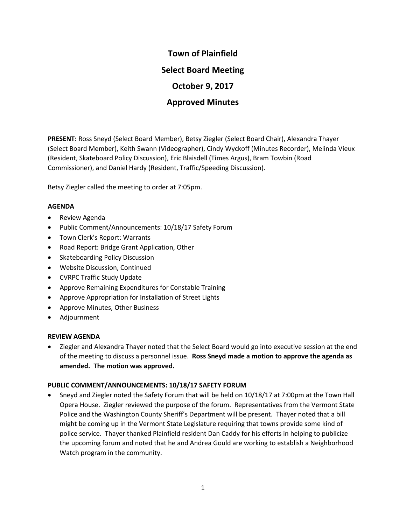# **Town of Plainfield Select Board Meeting October 9, 2017 Approved Minutes**

**PRESENT:** Ross Sneyd (Select Board Member), Betsy Ziegler (Select Board Chair), Alexandra Thayer (Select Board Member), Keith Swann (Videographer), Cindy Wyckoff (Minutes Recorder), Melinda Vieux (Resident, Skateboard Policy Discussion), Eric Blaisdell (Times Argus), Bram Towbin (Road Commissioner), and Daniel Hardy (Resident, Traffic/Speeding Discussion).

Betsy Ziegler called the meeting to order at 7:05pm.

#### **AGENDA**

- Review Agenda
- Public Comment/Announcements: 10/18/17 Safety Forum
- Town Clerk's Report: Warrants
- Road Report: Bridge Grant Application, Other
- Skateboarding Policy Discussion
- Website Discussion, Continued
- CVRPC Traffic Study Update
- Approve Remaining Expenditures for Constable Training
- Approve Appropriation for Installation of Street Lights
- Approve Minutes, Other Business
- Adjournment

# **REVIEW AGENDA**

• Ziegler and Alexandra Thayer noted that the Select Board would go into executive session at the end of the meeting to discuss a personnel issue. **Ross Sneyd made a motion to approve the agenda as amended. The motion was approved.**

# **PUBLIC COMMENT/ANNOUNCEMENTS: 10/18/17 SAFETY FORUM**

• Sneyd and Ziegler noted the Safety Forum that will be held on 10/18/17 at 7:00pm at the Town Hall Opera House. Ziegler reviewed the purpose of the forum. Representatives from the Vermont State Police and the Washington County Sheriff's Department will be present. Thayer noted that a bill might be coming up in the Vermont State Legislature requiring that towns provide some kind of police service. Thayer thanked Plainfield resident Dan Caddy for his efforts in helping to publicize the upcoming forum and noted that he and Andrea Gould are working to establish a Neighborhood Watch program in the community.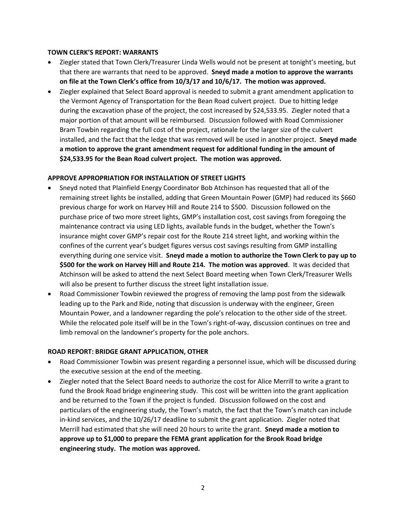## **TOWN CLERK'S REPORT: WARRANTS**

- Ziegler stated that Town Clerk/Treasurer Linda Wells would not be present at tonight's meeting, but that there are warrants that need to be approved. **Sneyd made a motion to approve the warrants on file at the Town Clerk's office from 10/3/17 and 10/6/17. The motion was approved.**
- Ziegler explained that Select Board approval is needed to submit a grant amendment application to the Vermont Agency of Transportation for the Bean Road culvert project. Due to hitting ledge during the excavation phase of the project, the cost increased by \$24,533.95. Ziegler noted that a major portion of that amount will be reimbursed. Discussion followed with Road Commissioner Bram Towbin regarding the full cost of the project, rationale for the larger size of the culvert installed, and the fact that the ledge that was removed will be used in another project. **Sneyd made a motion to approve the grant amendment request for additional funding in the amount of \$24,533.95 for the Bean Road culvert project. The motion was approved.**

#### **APPROVE APPROPRIATION FOR INSTALLATION OF STREET LIGHTS**

- Sneyd noted that Plainfield Energy Coordinator Bob Atchinson has requested that all of the remaining street lights be installed, adding that Green Mountain Power (GMP) had reduced its \$660 previous charge for work on Harvey Hill and Route 214 to \$500. Discussion followed on the purchase price of two more street lights, GMP's installation cost, cost savings from foregoing the maintenance contract via using LED lights, available funds in the budget, whether the Town's insurance might cover GMP's repair cost for the Route 214 street light, and working within the confines of the current year's budget figures versus cost savings resulting from GMP installing everything during one service visit. **Sneyd made a motion to authorize the Town Clerk to pay up to \$500 for the work on Harvey Hill and Route 214. The motion was approved**. It was decided that Atchinson will be asked to attend the next Select Board meeting when Town Clerk/Treasurer Wells will also be present to further discuss the street light installation issue.
- Road Commissioner Towbin reviewed the progress of removing the lamp post from the sidewalk leading up to the Park and Ride, noting that discussion is underway with the engineer, Green Mountain Power, and a landowner regarding the pole's relocation to the other side of the street. While the relocated pole itself will be in the Town's right-of-way, discussion continues on tree and limb removal on the landowner's property for the pole anchors.

# **ROAD REPORT: BRIDGE GRANT APPLICATION, OTHER**

- Road Commissioner Towbin was present regarding a personnel issue, which will be discussed during the executive session at the end of the meeting.
- Ziegler noted that the Select Board needs to authorize the cost for Alice Merrill to write a grant to fund the Brook Road bridge engineering study. This cost will be written into the grant application and be returned to the Town if the project is funded. Discussion followed on the cost and particulars of the engineering study, the Town's match, the fact that the Town's match can include in-kind services, and the 10/26/17 deadline to submit the grant application. Ziegler noted that Merrill had estimated that she will need 20 hours to write the grant. **Sneyd made a motion to approve up to \$1,000 to prepare the FEMA grant application for the Brook Road bridge engineering study. The motion was approved.**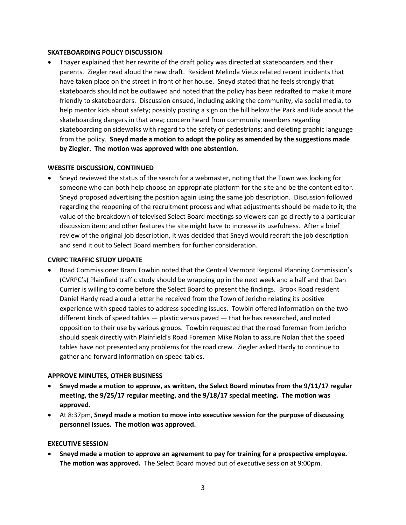#### **SKATEBOARDING POLICY DISCUSSION**

• Thayer explained that her rewrite of the draft policy was directed at skateboarders and their parents. Ziegler read aloud the new draft. Resident Melinda Vieux related recent incidents that have taken place on the street in front of her house. Sneyd stated that he feels strongly that skateboards should not be outlawed and noted that the policy has been redrafted to make it more friendly to skateboarders. Discussion ensued, including asking the community, via social media, to help mentor kids about safety; possibly posting a sign on the hill below the Park and Ride about the skateboarding dangers in that area; concern heard from community members regarding skateboarding on sidewalks with regard to the safety of pedestrians; and deleting graphic language from the policy. **Sneyd made a motion to adopt the policy as amended by the suggestions made by Ziegler. The motion was approved with one abstention.**

#### **WEBSITE DISCUSSION, CONTINUED**

• Sneyd reviewed the status of the search for a webmaster, noting that the Town was looking for someone who can both help choose an appropriate platform for the site and be the content editor. Sneyd proposed advertising the position again using the same job description. Discussion followed regarding the reopening of the recruitment process and what adjustments should be made to it; the value of the breakdown of televised Select Board meetings so viewers can go directly to a particular discussion item; and other features the site might have to increase its usefulness. After a brief review of the original job description, it was decided that Sneyd would redraft the job description and send it out to Select Board members for further consideration.

## **CVRPC TRAFFIC STUDY UPDATE**

• Road Commissioner Bram Towbin noted that the Central Vermont Regional Planning Commission's (CVRPC's) Plainfield traffic study should be wrapping up in the next week and a half and that Dan Currier is willing to come before the Select Board to present the findings. Brook Road resident Daniel Hardy read aloud a letter he received from the Town of Jericho relating its positive experience with speed tables to address speeding issues. Towbin offered information on the two different kinds of speed tables — plastic versus paved — that he has researched, and noted opposition to their use by various groups. Towbin requested that the road foreman from Jericho should speak directly with Plainfield's Road Foreman Mike Nolan to assure Nolan that the speed tables have not presented any problems for the road crew. Ziegler asked Hardy to continue to gather and forward information on speed tables.

# **APPROVE MINUTES, OTHER BUSINESS**

- **Sneyd made a motion to approve, as written, the Select Board minutes from the 9/11/17 regular meeting, the 9/25/17 regular meeting, and the 9/18/17 special meeting. The motion was approved.**
- At 8:37pm, **Sneyd made a motion to move into executive session for the purpose of discussing personnel issues. The motion was approved.**

# **EXECUTIVE SESSION**

• **Sneyd made a motion to approve an agreement to pay for training for a prospective employee. The motion was approved.** The Select Board moved out of executive session at 9:00pm.